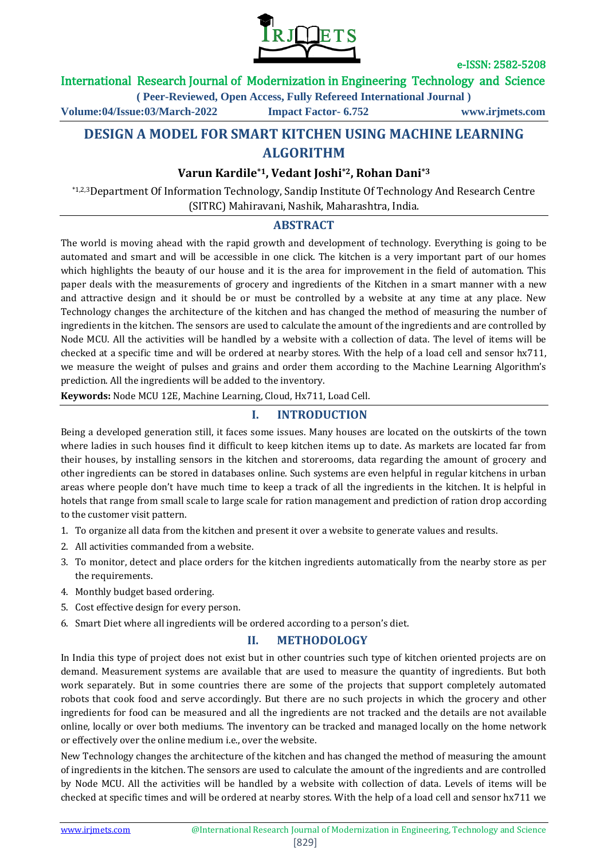

# International Research Journal of Modernization in Engineering Technology and Science

**( Peer-Reviewed, Open Access, Fully Refereed International Journal )**

**Volume:04/Issue:03/March-2022 Impact Factor- 6.752 www.irjmets.com**

# **DESIGN A MODEL FOR SMART KITCHEN USING MACHINE LEARNING ALGORITHM**

# **Varun Kardile\*1, Vedant Joshi\*2, Rohan Dani\*3**

\*1,2,3Department Of Information Technology, Sandip Institute Of Technology And Research Centre (SITRC) Mahiravani, Nashik, Maharashtra, India.

## **ABSTRACT**

The world is moving ahead with the rapid growth and development of technology. Everything is going to be automated and smart and will be accessible in one click. The kitchen is a very important part of our homes which highlights the beauty of our house and it is the area for improvement in the field of automation. This paper deals with the measurements of grocery and ingredients of the Kitchen in a smart manner with a new and attractive design and it should be or must be controlled by a website at any time at any place. New Technology changes the architecture of the kitchen and has changed the method of measuring the number of ingredients in the kitchen. The sensors are used to calculate the amount of the ingredients and are controlled by Node MCU. All the activities will be handled by a website with a collection of data. The level of items will be checked at a specific time and will be ordered at nearby stores. With the help of a load cell and sensor hx711, we measure the weight of pulses and grains and order them according to the Machine Learning Algorithm's prediction. All the ingredients will be added to the inventory.

**Keywords:** Node MCU 12E, Machine Learning, Cloud, Hx711, Load Cell.

## **I. INTRODUCTION**

Being a developed generation still, it faces some issues. Many houses are located on the outskirts of the town where ladies in such houses find it difficult to keep kitchen items up to date. As markets are located far from their houses, by installing sensors in the kitchen and storerooms, data regarding the amount of grocery and other ingredients can be stored in databases online. Such systems are even helpful in regular kitchens in urban areas where people don't have much time to keep a track of all the ingredients in the kitchen. It is helpful in hotels that range from small scale to large scale for ration management and prediction of ration drop according to the customer visit pattern.

- 1. To organize all data from the kitchen and present it over a website to generate values and results.
- 2. All activities commanded from a website.
- 3. To monitor, detect and place orders for the kitchen ingredients automatically from the nearby store as per the requirements.
- 4. Monthly budget based ordering.
- 5. Cost effective design for every person.
- 6. Smart Diet where all ingredients will be ordered according to a person's diet.

## **II. METHODOLOGY**

In India this type of project does not exist but in other countries such type of kitchen oriented projects are on demand. Measurement systems are available that are used to measure the quantity of ingredients. But both work separately. But in some countries there are some of the projects that support completely automated robots that cook food and serve accordingly. But there are no such projects in which the grocery and other ingredients for food can be measured and all the ingredients are not tracked and the details are not available online, locally or over both mediums. The inventory can be tracked and managed locally on the home network or effectively over the online medium i.e., over the website.

New Technology changes the architecture of the kitchen and has changed the method of measuring the amount of ingredients in the kitchen. The sensors are used to calculate the amount of the ingredients and are controlled by Node MCU. All the activities will be handled by a website with collection of data. Levels of items will be checked at specific times and will be ordered at nearby stores. With the help of a load cell and sensor hx711 we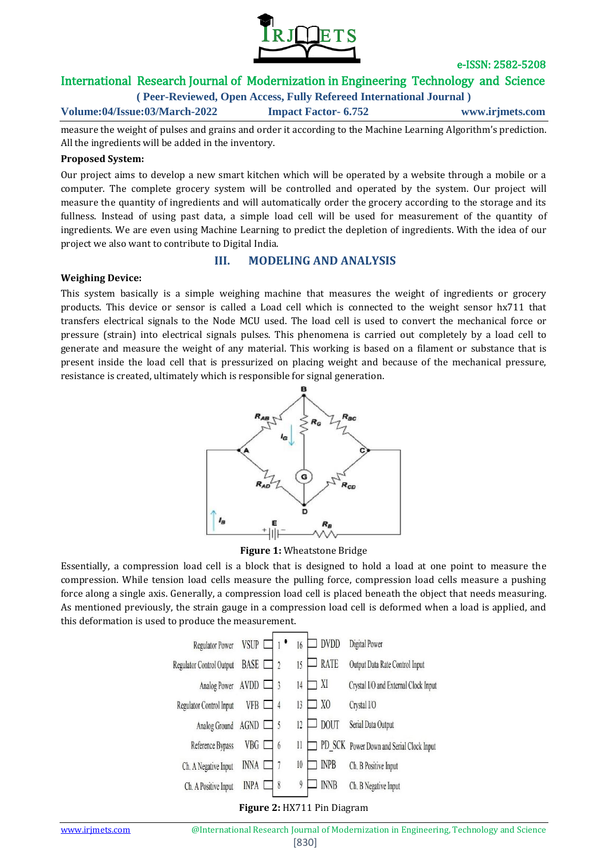

# International Research Journal of Modernization in Engineering Technology and Science

**( Peer-Reviewed, Open Access, Fully Refereed International Journal )**

**Volume:04/Issue:03/March-2022 Impact Factor- 6.752 www.irjmets.com**

measure the weight of pulses and grains and order it according to the Machine Learning Algorithm's prediction. All the ingredients will be added in the inventory.

### **Proposed System:**

Our project aims to develop a new smart kitchen which will be operated by a website through a mobile or a computer. The complete grocery system will be controlled and operated by the system. Our project will measure the quantity of ingredients and will automatically order the grocery according to the storage and its fullness. Instead of using past data, a simple load cell will be used for measurement of the quantity of ingredients. We are even using Machine Learning to predict the depletion of ingredients. With the idea of our project we also want to contribute to Digital India.

#### **Weighing Device:**

## **III. MODELING AND ANALYSIS**

This system basically is a simple weighing machine that measures the weight of ingredients or grocery products. This device or sensor is called a Load cell which is connected to the weight sensor hx711 that transfers electrical signals to the Node MCU used. The load cell is used to convert the mechanical force or pressure (strain) into electrical signals pulses. This phenomena is carried out completely by a load cell to generate and measure the weight of any material. This working is based on a filament or substance that is present inside the load cell that is pressurized on placing weight and because of the mechanical pressure, resistance is created, ultimately which is responsible for signal generation.



#### **Figure 1:** Wheatstone Bridge

Essentially, a compression load cell is a block that is designed to hold a load at one point to measure the compression. While tension load cells measure the pulling force, compression load cells measure a pushing force along a single axis. Generally, a compression load cell is placed beneath the object that needs measuring. As mentioned previously, the strain gauge in a compression load cell is deformed when a load is applied, and this deformation is used to produce the measurement.

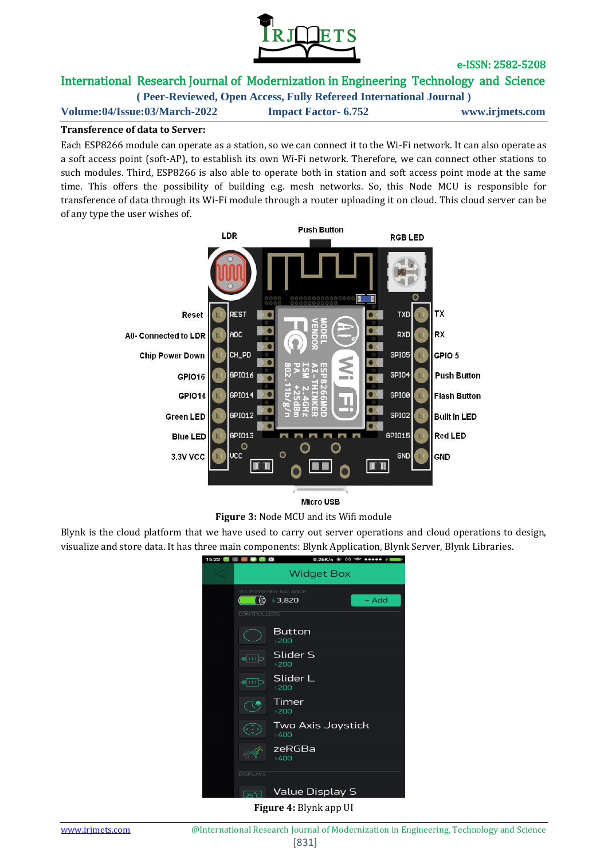

# International Research Journal of Modernization in Engineering Technology and Science

**( Peer-Reviewed, Open Access, Fully Refereed International Journal ) Volume:04/Issue:03/March-2022 Impact Factor- 6.752 www.irjmets.com**

## **Transference of data to Server:**

Each ESP8266 module can operate as a station, so we can connect it to the Wi-Fi network. It can also operate as a soft access point (soft-AP), to establish its own Wi-Fi network. Therefore, we can connect other stations to such modules. Third, ESP8266 is also able to operate both in station and soft access point mode at the same time. This offers the possibility of building e.g. mesh networks. So, this Node MCU is responsible for transference of data through its Wi-Fi module through a router uploading it on cloud. This cloud server can be of any type the user wishes of.



**Figure 3:** Node MCU and its Wifi module

Blynk is the cloud platform that we have used to carry out server operations and cloud operations to design, visualize and store data. It has three main components: Blynk Application, Blynk Server, Blynk Libraries.



**Figure 4:** Blynk app UI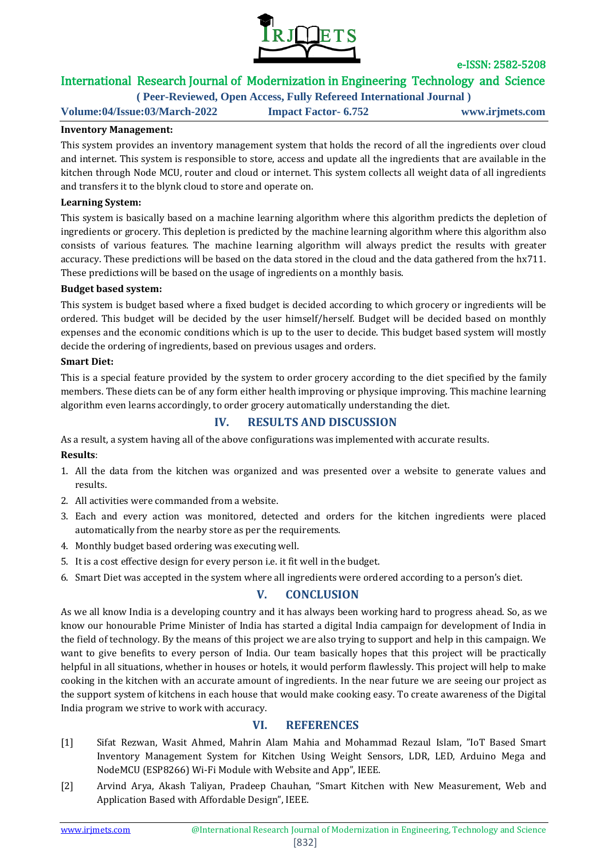

# International Research Journal of Modernization in Engineering Technology and Science

**( Peer-Reviewed, Open Access, Fully Refereed International Journal )**

**Volume:04/Issue:03/March-2022 Impact Factor- 6.752 www.irjmets.com**

## **Inventory Management:**

This system provides an inventory management system that holds the record of all the ingredients over cloud and internet. This system is responsible to store, access and update all the ingredients that are available in the kitchen through Node MCU, router and cloud or internet. This system collects all weight data of all ingredients and transfers it to the blynk cloud to store and operate on.

### **Learning System:**

This system is basically based on a machine learning algorithm where this algorithm predicts the depletion of ingredients or grocery. This depletion is predicted by the machine learning algorithm where this algorithm also consists of various features. The machine learning algorithm will always predict the results with greater accuracy. These predictions will be based on the data stored in the cloud and the data gathered from the hx711. These predictions will be based on the usage of ingredients on a monthly basis.

#### **Budget based system:**

This system is budget based where a fixed budget is decided according to which grocery or ingredients will be ordered. This budget will be decided by the user himself/herself. Budget will be decided based on monthly expenses and the economic conditions which is up to the user to decide. This budget based system will mostly decide the ordering of ingredients, based on previous usages and orders.

#### **Smart Diet:**

This is a special feature provided by the system to order grocery according to the diet specified by the family members. These diets can be of any form either health improving or physique improving. This machine learning algorithm even learns accordingly, to order grocery automatically understanding the diet.

## **IV. RESULTS AND DISCUSSION**

As a result, a system having all of the above configurations was implemented with accurate results.

## **Results**:

- 1. All the data from the kitchen was organized and was presented over a website to generate values and results.
- 2. All activities were commanded from a website.
- 3. Each and every action was monitored, detected and orders for the kitchen ingredients were placed automatically from the nearby store as per the requirements.
- 4. Monthly budget based ordering was executing well.
- 5. It is a cost effective design for every person i.e. it fit well in the budget.
- 6. Smart Diet was accepted in the system where all ingredients were ordered according to a person's diet.

# **V. CONCLUSION**

As we all know India is a developing country and it has always been working hard to progress ahead. So, as we know our honourable Prime Minister of India has started a digital India campaign for development of India in the field of technology. By the means of this project we are also trying to support and help in this campaign. We want to give benefits to every person of India. Our team basically hopes that this project will be practically helpful in all situations, whether in houses or hotels, it would perform flawlessly. This project will help to make cooking in the kitchen with an accurate amount of ingredients. In the near future we are seeing our project as the support system of kitchens in each house that would make cooking easy. To create awareness of the Digital India program we strive to work with accuracy.

## **VI. REFERENCES**

- [1] Sifat Rezwan, Wasit Ahmed, Mahrin Alam Mahia and Mohammad Rezaul Islam, "IoT Based Smart Inventory Management System for Kitchen Using Weight Sensors, LDR, LED, Arduino Mega and NodeMCU (ESP8266) Wi-Fi Module with Website and App", IEEE.
- [2] Arvind Arya, Akash Taliyan, Pradeep Chauhan, "Smart Kitchen with New Measurement, Web and Application Based with Affordable Design", IEEE.